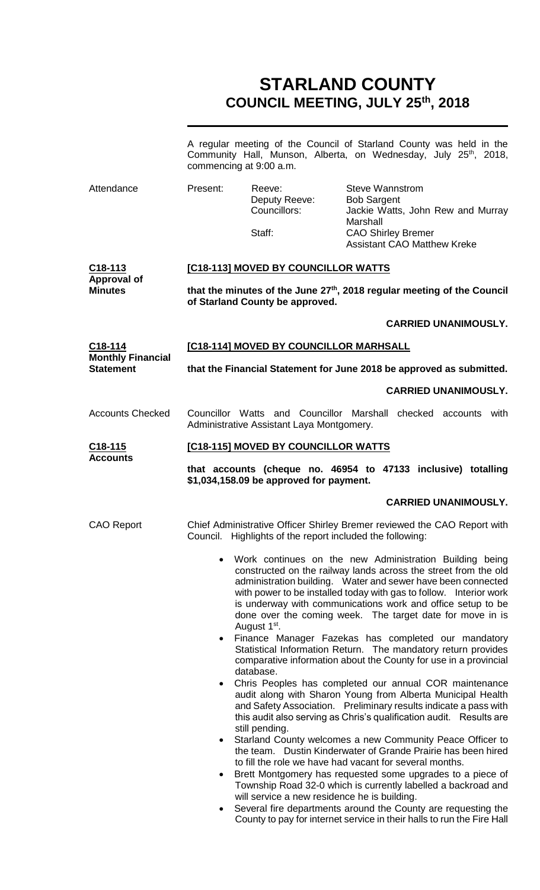# **STARLAND COUNTY COUNCIL MEETING, JULY 25 th, 2018**

|                                              | commencing at 9:00 a.m.                                                                                                                                                                              | A regular meeting of the Council of Starland County was held in the<br>Community Hall, Munson, Alberta, on Wednesday, July 25 <sup>th</sup> , 2018,                                                                                                                                                                                                                                                                                                                                                                                                                                                                                                                                                                                                                                                                                                                                                                                                                                                                                                                                                                                                                                                                                             |                                                                                       |                                                                         |  |  |
|----------------------------------------------|------------------------------------------------------------------------------------------------------------------------------------------------------------------------------------------------------|-------------------------------------------------------------------------------------------------------------------------------------------------------------------------------------------------------------------------------------------------------------------------------------------------------------------------------------------------------------------------------------------------------------------------------------------------------------------------------------------------------------------------------------------------------------------------------------------------------------------------------------------------------------------------------------------------------------------------------------------------------------------------------------------------------------------------------------------------------------------------------------------------------------------------------------------------------------------------------------------------------------------------------------------------------------------------------------------------------------------------------------------------------------------------------------------------------------------------------------------------|---------------------------------------------------------------------------------------|-------------------------------------------------------------------------|--|--|
| Attendance                                   | Present:                                                                                                                                                                                             | Reeve:<br>Deputy Reeve:<br>Councillors:<br>Staff:                                                                                                                                                                                                                                                                                                                                                                                                                                                                                                                                                                                                                                                                                                                                                                                                                                                                                                                                                                                                                                                                                                                                                                                               | <b>Steve Wannstrom</b><br><b>Bob Sargent</b><br>Marshall<br><b>CAO Shirley Bremer</b> | Jackie Watts, John Rew and Murray<br><b>Assistant CAO Matthew Kreke</b> |  |  |
| C <sub>18</sub> -113                         |                                                                                                                                                                                                      | [C18-113] MOVED BY COUNCILLOR WATTS                                                                                                                                                                                                                                                                                                                                                                                                                                                                                                                                                                                                                                                                                                                                                                                                                                                                                                                                                                                                                                                                                                                                                                                                             |                                                                                       |                                                                         |  |  |
| <b>Approval of</b><br><b>Minutes</b>         | that the minutes of the June 27 <sup>th</sup> , 2018 regular meeting of the Council<br>of Starland County be approved.                                                                               |                                                                                                                                                                                                                                                                                                                                                                                                                                                                                                                                                                                                                                                                                                                                                                                                                                                                                                                                                                                                                                                                                                                                                                                                                                                 |                                                                                       |                                                                         |  |  |
|                                              |                                                                                                                                                                                                      |                                                                                                                                                                                                                                                                                                                                                                                                                                                                                                                                                                                                                                                                                                                                                                                                                                                                                                                                                                                                                                                                                                                                                                                                                                                 |                                                                                       | <b>CARRIED UNANIMOUSLY.</b>                                             |  |  |
| C <sub>18</sub> -114                         |                                                                                                                                                                                                      | [C18-114] MOVED BY COUNCILLOR MARHSALL                                                                                                                                                                                                                                                                                                                                                                                                                                                                                                                                                                                                                                                                                                                                                                                                                                                                                                                                                                                                                                                                                                                                                                                                          |                                                                                       |                                                                         |  |  |
| <b>Monthly Financial</b><br><b>Statement</b> |                                                                                                                                                                                                      | that the Financial Statement for June 2018 be approved as submitted.                                                                                                                                                                                                                                                                                                                                                                                                                                                                                                                                                                                                                                                                                                                                                                                                                                                                                                                                                                                                                                                                                                                                                                            |                                                                                       |                                                                         |  |  |
|                                              |                                                                                                                                                                                                      |                                                                                                                                                                                                                                                                                                                                                                                                                                                                                                                                                                                                                                                                                                                                                                                                                                                                                                                                                                                                                                                                                                                                                                                                                                                 |                                                                                       | <b>CARRIED UNANIMOUSLY.</b>                                             |  |  |
| <b>Accounts Checked</b>                      |                                                                                                                                                                                                      | Councillor Watts and Councillor Marshall checked accounts with<br>Administrative Assistant Laya Montgomery.                                                                                                                                                                                                                                                                                                                                                                                                                                                                                                                                                                                                                                                                                                                                                                                                                                                                                                                                                                                                                                                                                                                                     |                                                                                       |                                                                         |  |  |
| <u>C18-115</u>                               | [C18-115] MOVED BY COUNCILLOR WATTS                                                                                                                                                                  |                                                                                                                                                                                                                                                                                                                                                                                                                                                                                                                                                                                                                                                                                                                                                                                                                                                                                                                                                                                                                                                                                                                                                                                                                                                 |                                                                                       |                                                                         |  |  |
| <b>Accounts</b>                              | that accounts (cheque no. 46954 to 47133 inclusive) totalling<br>\$1,034,158.09 be approved for payment.                                                                                             |                                                                                                                                                                                                                                                                                                                                                                                                                                                                                                                                                                                                                                                                                                                                                                                                                                                                                                                                                                                                                                                                                                                                                                                                                                                 |                                                                                       |                                                                         |  |  |
|                                              |                                                                                                                                                                                                      |                                                                                                                                                                                                                                                                                                                                                                                                                                                                                                                                                                                                                                                                                                                                                                                                                                                                                                                                                                                                                                                                                                                                                                                                                                                 |                                                                                       | <b>CARRIED UNANIMOUSLY.</b>                                             |  |  |
| <b>CAO Report</b>                            |                                                                                                                                                                                                      | Chief Administrative Officer Shirley Bremer reviewed the CAO Report with<br>Council. Highlights of the report included the following:                                                                                                                                                                                                                                                                                                                                                                                                                                                                                                                                                                                                                                                                                                                                                                                                                                                                                                                                                                                                                                                                                                           |                                                                                       |                                                                         |  |  |
|                                              | $\bullet$<br>$\bullet$<br>$\bullet$<br>$\bullet$<br>$\bullet$                                                                                                                                        | Work continues on the new Administration Building being<br>constructed on the railway lands across the street from the old<br>administration building. Water and sewer have been connected<br>with power to be installed today with gas to follow. Interior work<br>is underway with communications work and office setup to be<br>done over the coming week. The target date for move in is<br>August 1 <sup>st</sup> .<br>Finance Manager Fazekas has completed our mandatory<br>Statistical Information Return. The mandatory return provides<br>comparative information about the County for use in a provincial<br>database.<br>Chris Peoples has completed our annual COR maintenance<br>audit along with Sharon Young from Alberta Municipal Health<br>and Safety Association. Preliminary results indicate a pass with<br>this audit also serving as Chris's qualification audit. Results are<br>still pending.<br>Starland County welcomes a new Community Peace Officer to<br>the team. Dustin Kinderwater of Grande Prairie has been hired<br>to fill the role we have had vacant for several months.<br>Brett Montgomery has requested some upgrades to a piece of<br>Township Road 32-0 which is currently labelled a backroad and |                                                                                       |                                                                         |  |  |
|                                              | will service a new residence he is building.<br>Several fire departments around the County are requesting the<br>$\bullet$<br>County to pay for internet service in their halls to run the Fire Hall |                                                                                                                                                                                                                                                                                                                                                                                                                                                                                                                                                                                                                                                                                                                                                                                                                                                                                                                                                                                                                                                                                                                                                                                                                                                 |                                                                                       |                                                                         |  |  |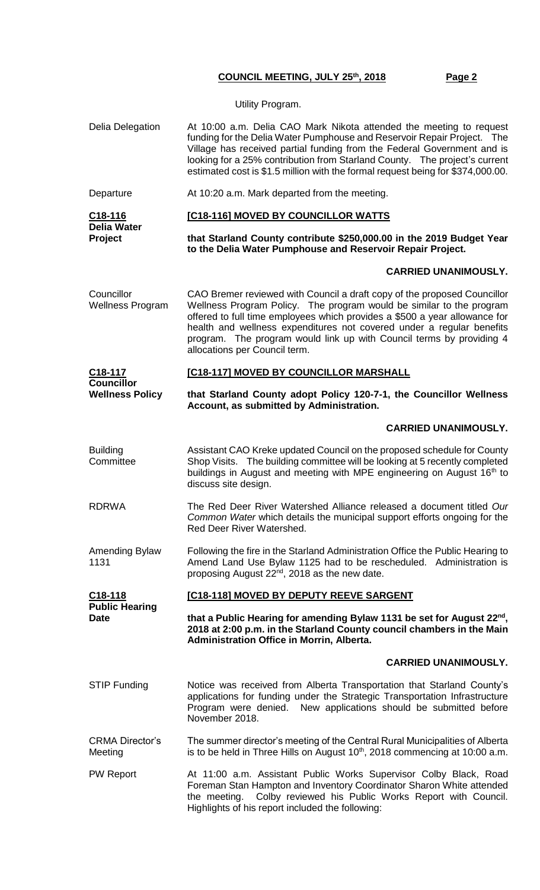Utility Program.

Delia Delegation At 10:00 a.m. Delia CAO Mark Nikota attended the meeting to request funding for the Delia Water Pumphouse and Reservoir Repair Project. The Village has received partial funding from the Federal Government and is looking for a 25% contribution from Starland County. The project's current estimated cost is \$1.5 million with the formal request being for \$374,000.00. Departure **At 10:20 a.m. Mark departed from the meeting. C18-116 Delia Water Project [C18-116] MOVED BY COUNCILLOR WATTS that Starland County contribute \$250,000.00 in the 2019 Budget Year to the Delia Water Pumphouse and Reservoir Repair Project. CARRIED UNANIMOUSLY. Councillor** Wellness Program CAO Bremer reviewed with Council a draft copy of the proposed Councillor Wellness Program Policy. The program would be similar to the program offered to full time employees which provides a \$500 a year allowance for health and wellness expenditures not covered under a regular benefits program. The program would link up with Council terms by providing 4 allocations per Council term. **C18-117 Councillor Wellness Policy [C18-117] MOVED BY COUNCILLOR MARSHALL that Starland County adopt Policy 120-7-1, the Councillor Wellness Account, as submitted by Administration. CARRIED UNANIMOUSLY. Building Committee** Assistant CAO Kreke updated Council on the proposed schedule for County Shop Visits. The building committee will be looking at 5 recently completed buildings in August and meeting with MPE engineering on August 16<sup>th</sup> to discuss site design. RDRWA The Red Deer River Watershed Alliance released a document titled *Our Common Water* which details the municipal support efforts ongoing for the Red Deer River Watershed. Amending Bylaw 1131 Following the fire in the Starland Administration Office the Public Hearing to Amend Land Use Bylaw 1125 had to be rescheduled. Administration is proposing August  $22^{nd}$ , 2018 as the new date. **C18-118 Public Hearing Date [C18-118] MOVED BY DEPUTY REEVE SARGENT that a Public Hearing for amending Bylaw 1131 be set for August 22nd , 2018 at 2:00 p.m. in the Starland County council chambers in the Main Administration Office in Morrin, Alberta. CARRIED UNANIMOUSLY.** STIP Funding Statice was received from Alberta Transportation that Starland County's applications for funding under the Strategic Transportation Infrastructure Program were denied. New applications should be submitted before November 2018. CRMA Director's Meeting The summer director's meeting of the Central Rural Municipalities of Alberta is to be held in Three Hills on August  $10<sup>th</sup>$ , 2018 commencing at 10:00 a.m. PW Report **At 11:00 a.m. Assistant Public Works Supervisor Colby Black, Road** Foreman Stan Hampton and Inventory Coordinator Sharon White attended the meeting. Colby reviewed his Public Works Report with Council. Highlights of his report included the following: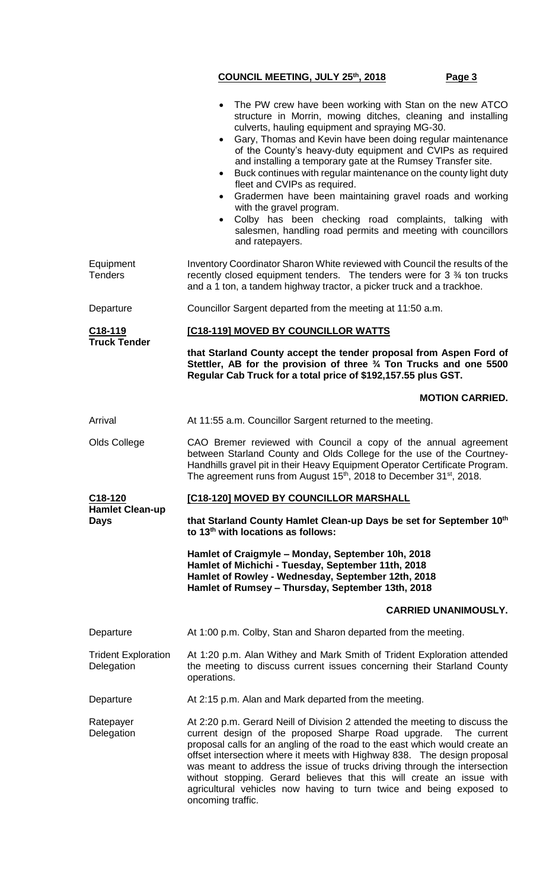|                                          | The PW crew have been working with Stan on the new ATCO<br>structure in Morrin, mowing ditches, cleaning and installing<br>culverts, hauling equipment and spraying MG-30.<br>Gary, Thomas and Kevin have been doing regular maintenance<br>$\bullet$<br>of the County's heavy-duty equipment and CVIPs as required<br>and installing a temporary gate at the Rumsey Transfer site.<br>Buck continues with regular maintenance on the county light duty<br>$\bullet$<br>fleet and CVIPs as required.<br>Gradermen have been maintaining gravel roads and working<br>with the gravel program.<br>Colby has been checking road complaints, talking with<br>salesmen, handling road permits and meeting with councillors<br>and ratepayers. |  |  |
|------------------------------------------|------------------------------------------------------------------------------------------------------------------------------------------------------------------------------------------------------------------------------------------------------------------------------------------------------------------------------------------------------------------------------------------------------------------------------------------------------------------------------------------------------------------------------------------------------------------------------------------------------------------------------------------------------------------------------------------------------------------------------------------|--|--|
| Equipment<br><b>Tenders</b>              | Inventory Coordinator Sharon White reviewed with Council the results of the<br>recently closed equipment tenders. The tenders were for 3 34 ton trucks<br>and a 1 ton, a tandem highway tractor, a picker truck and a trackhoe.                                                                                                                                                                                                                                                                                                                                                                                                                                                                                                          |  |  |
| Departure                                | Councillor Sargent departed from the meeting at 11:50 a.m.                                                                                                                                                                                                                                                                                                                                                                                                                                                                                                                                                                                                                                                                               |  |  |
| C18-119                                  | [C18-119] MOVED BY COUNCILLOR WATTS                                                                                                                                                                                                                                                                                                                                                                                                                                                                                                                                                                                                                                                                                                      |  |  |
| <b>Truck Tender</b>                      | that Starland County accept the tender proposal from Aspen Ford of<br>Stettler, AB for the provision of three 3/4 Ton Trucks and one 5500<br>Regular Cab Truck for a total price of \$192,157.55 plus GST.                                                                                                                                                                                                                                                                                                                                                                                                                                                                                                                               |  |  |
|                                          | <b>MOTION CARRIED.</b>                                                                                                                                                                                                                                                                                                                                                                                                                                                                                                                                                                                                                                                                                                                   |  |  |
| Arrival                                  | At 11:55 a.m. Councillor Sargent returned to the meeting.                                                                                                                                                                                                                                                                                                                                                                                                                                                                                                                                                                                                                                                                                |  |  |
| Olds College                             | CAO Bremer reviewed with Council a copy of the annual agreement<br>between Starland County and Olds College for the use of the Courtney-<br>Handhills gravel pit in their Heavy Equipment Operator Certificate Program.<br>The agreement runs from August 15 <sup>th</sup> , 2018 to December 31 <sup>st</sup> , 2018.                                                                                                                                                                                                                                                                                                                                                                                                                   |  |  |
| C <sub>18</sub> -120                     | [C18-120] MOVED BY COUNCILLOR MARSHALL                                                                                                                                                                                                                                                                                                                                                                                                                                                                                                                                                                                                                                                                                                   |  |  |
| <b>Hamlet Clean-up</b><br><b>Days</b>    | that Starland County Hamlet Clean-up Days be set for September 10th<br>to 13 <sup>th</sup> with locations as follows:                                                                                                                                                                                                                                                                                                                                                                                                                                                                                                                                                                                                                    |  |  |
|                                          | Hamlet of Craigmyle - Monday, September 10h, 2018<br>Hamlet of Michichi - Tuesday, September 11th, 2018<br>Hamlet of Rowley - Wednesday, September 12th, 2018<br>Hamlet of Rumsey - Thursday, September 13th, 2018                                                                                                                                                                                                                                                                                                                                                                                                                                                                                                                       |  |  |
|                                          | <b>CARRIED UNANIMOUSLY.</b>                                                                                                                                                                                                                                                                                                                                                                                                                                                                                                                                                                                                                                                                                                              |  |  |
| Departure                                | At 1:00 p.m. Colby, Stan and Sharon departed from the meeting.                                                                                                                                                                                                                                                                                                                                                                                                                                                                                                                                                                                                                                                                           |  |  |
| <b>Trident Exploration</b><br>Delegation | At 1:20 p.m. Alan Withey and Mark Smith of Trident Exploration attended<br>the meeting to discuss current issues concerning their Starland County<br>operations.                                                                                                                                                                                                                                                                                                                                                                                                                                                                                                                                                                         |  |  |
| Departure                                | At 2:15 p.m. Alan and Mark departed from the meeting.                                                                                                                                                                                                                                                                                                                                                                                                                                                                                                                                                                                                                                                                                    |  |  |
| Ratepayer<br>Delegation                  | At 2:20 p.m. Gerard Neill of Division 2 attended the meeting to discuss the<br>current design of the proposed Sharpe Road upgrade.<br>The current<br>proposal calls for an angling of the road to the east which would create an<br>offset intersection where it meets with Highway 838. The design proposal<br>was meant to address the issue of trucks driving through the intersection<br>without stopping. Gerard believes that this will create an issue with<br>agricultural vehicles now having to turn twice and being exposed to<br>oncoming traffic.                                                                                                                                                                           |  |  |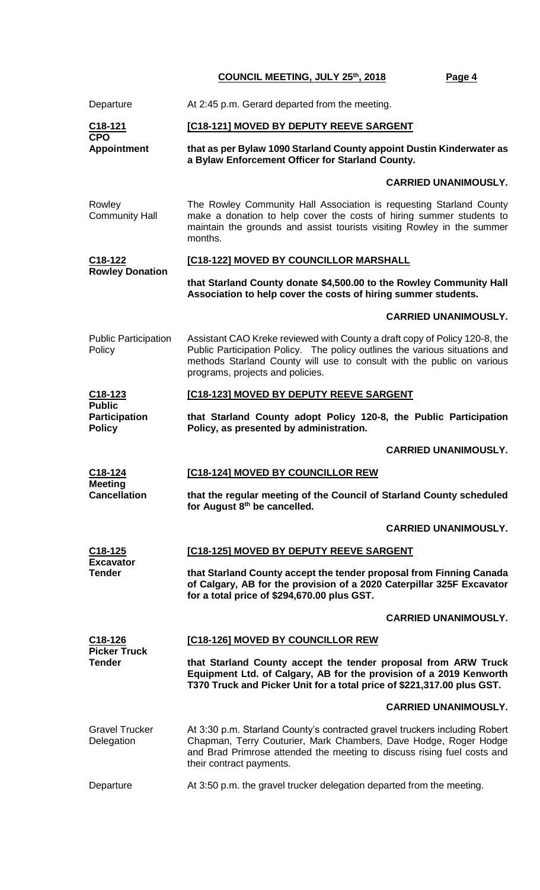| Departure                                                                   | At 2:45 p.m. Gerard departed from the meeting.                                                                                                                                                                                                                          |  |  |
|-----------------------------------------------------------------------------|-------------------------------------------------------------------------------------------------------------------------------------------------------------------------------------------------------------------------------------------------------------------------|--|--|
| C <sub>18-121</sub><br><b>CPO</b>                                           | [C18-121] MOVED BY DEPUTY REEVE SARGENT                                                                                                                                                                                                                                 |  |  |
| <b>Appointment</b>                                                          | that as per Bylaw 1090 Starland County appoint Dustin Kinderwater as<br>a Bylaw Enforcement Officer for Starland County.                                                                                                                                                |  |  |
|                                                                             | <b>CARRIED UNANIMOUSLY.</b>                                                                                                                                                                                                                                             |  |  |
| Rowley<br><b>Community Hall</b>                                             | The Rowley Community Hall Association is requesting Starland County<br>make a donation to help cover the costs of hiring summer students to<br>maintain the grounds and assist tourists visiting Rowley in the summer<br>months.                                        |  |  |
| [C18-122] MOVED BY COUNCILLOR MARSHALL<br>C18-122<br><b>Rowley Donation</b> |                                                                                                                                                                                                                                                                         |  |  |
|                                                                             | that Starland County donate \$4,500.00 to the Rowley Community Hall<br>Association to help cover the costs of hiring summer students.                                                                                                                                   |  |  |
|                                                                             | <b>CARRIED UNANIMOUSLY.</b>                                                                                                                                                                                                                                             |  |  |
| <b>Public Participation</b><br>Policy                                       | Assistant CAO Kreke reviewed with County a draft copy of Policy 120-8, the<br>Public Participation Policy. The policy outlines the various situations and<br>methods Starland County will use to consult with the public on various<br>programs, projects and policies. |  |  |
| $C18-123$                                                                   | [C18-123] MOVED BY DEPUTY REEVE SARGENT                                                                                                                                                                                                                                 |  |  |
| <b>Public</b><br>Participation<br><b>Policy</b>                             | that Starland County adopt Policy 120-8, the Public Participation<br>Policy, as presented by administration.                                                                                                                                                            |  |  |
|                                                                             | <b>CARRIED UNANIMOUSLY.</b>                                                                                                                                                                                                                                             |  |  |
| C18-124                                                                     | [C18-124] MOVED BY COUNCILLOR REW                                                                                                                                                                                                                                       |  |  |
| <b>Meeting</b><br><b>Cancellation</b>                                       | that the regular meeting of the Council of Starland County scheduled<br>for August 8th be cancelled.                                                                                                                                                                    |  |  |
|                                                                             | <b>CARRIED UNANIMOUSLY.</b>                                                                                                                                                                                                                                             |  |  |
| C <sub>18</sub> -125<br><b>Excavator</b>                                    | [C18-125] MOVED BY DEPUTY REEVE SARGENT                                                                                                                                                                                                                                 |  |  |
| <b>Tender</b>                                                               | that Starland County accept the tender proposal from Finning Canada<br>of Calgary, AB for the provision of a 2020 Caterpillar 325F Excavator<br>for a total price of \$294,670.00 plus GST.                                                                             |  |  |
|                                                                             | <b>CARRIED UNANIMOUSLY.</b>                                                                                                                                                                                                                                             |  |  |
| $C18-126$<br><b>Picker Truck</b>                                            | [C18-126] MOVED BY COUNCILLOR REW                                                                                                                                                                                                                                       |  |  |
| <b>Tender</b>                                                               | that Starland County accept the tender proposal from ARW Truck<br>Equipment Ltd. of Calgary, AB for the provision of a 2019 Kenworth<br>T370 Truck and Picker Unit for a total price of \$221,317.00 plus GST.                                                          |  |  |
|                                                                             | <b>CARRIED UNANIMOUSLY.</b>                                                                                                                                                                                                                                             |  |  |
| <b>Gravel Trucker</b><br>Delegation                                         | At 3:30 p.m. Starland County's contracted gravel truckers including Robert<br>Chapman, Terry Couturier, Mark Chambers, Dave Hodge, Roger Hodge<br>and Brad Primrose attended the meeting to discuss rising fuel costs and<br>their contract payments.                   |  |  |
| Departure                                                                   | At 3:50 p.m. the gravel trucker delegation departed from the meeting.                                                                                                                                                                                                   |  |  |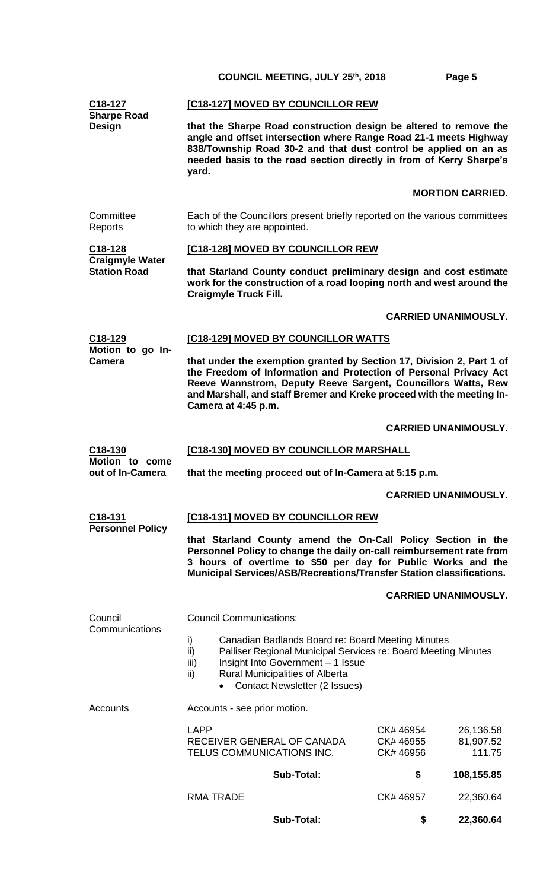| C18-127<br><b>Sharpe Road</b>                            | [C18-127] MOVED BY COUNCILLOR REW                                                                                                                                                                                                                                                                           |                                     |                                  |  |
|----------------------------------------------------------|-------------------------------------------------------------------------------------------------------------------------------------------------------------------------------------------------------------------------------------------------------------------------------------------------------------|-------------------------------------|----------------------------------|--|
| Design                                                   | that the Sharpe Road construction design be altered to remove the<br>angle and offset intersection where Range Road 21-1 meets Highway<br>838/Township Road 30-2 and that dust control be applied on an as<br>needed basis to the road section directly in from of Kerry Sharpe's<br>yard.                  |                                     |                                  |  |
|                                                          |                                                                                                                                                                                                                                                                                                             |                                     | <b>MORTION CARRIED.</b>          |  |
| Committee<br>Reports                                     | Each of the Councillors present briefly reported on the various committees<br>to which they are appointed.                                                                                                                                                                                                  |                                     |                                  |  |
| C18-128<br><b>Craigmyle Water</b><br><b>Station Road</b> | [C18-128] MOVED BY COUNCILLOR REW                                                                                                                                                                                                                                                                           |                                     |                                  |  |
|                                                          | that Starland County conduct preliminary design and cost estimate<br>work for the construction of a road looping north and west around the<br><b>Craigmyle Truck Fill.</b>                                                                                                                                  |                                     |                                  |  |
|                                                          |                                                                                                                                                                                                                                                                                                             |                                     | <b>CARRIED UNANIMOUSLY.</b>      |  |
| C18-129                                                  | [C18-129] MOVED BY COUNCILLOR WATTS                                                                                                                                                                                                                                                                         |                                     |                                  |  |
| Motion to go In-<br><b>Camera</b>                        | that under the exemption granted by Section 17, Division 2, Part 1 of<br>the Freedom of Information and Protection of Personal Privacy Act<br>Reeve Wannstrom, Deputy Reeve Sargent, Councillors Watts, Rew<br>and Marshall, and staff Bremer and Kreke proceed with the meeting In-<br>Camera at 4:45 p.m. |                                     |                                  |  |
|                                                          |                                                                                                                                                                                                                                                                                                             |                                     | <b>CARRIED UNANIMOUSLY.</b>      |  |
| C18-130                                                  | [C18-130] MOVED BY COUNCILLOR MARSHALL                                                                                                                                                                                                                                                                      |                                     |                                  |  |
| Motion to come<br>out of In-Camera                       | that the meeting proceed out of In-Camera at 5:15 p.m.                                                                                                                                                                                                                                                      |                                     |                                  |  |
|                                                          |                                                                                                                                                                                                                                                                                                             |                                     | <b>CARRIED UNANIMOUSLY.</b>      |  |
| C18-131                                                  | [C18-131] MOVED BY COUNCILLOR REW                                                                                                                                                                                                                                                                           |                                     |                                  |  |
| <b>Personnel Policy</b>                                  | that Starland County amend the On-Call Policy Section in the<br>Personnel Policy to change the daily on-call reimbursement rate from<br>3 hours of overtime to \$50 per day for Public Works and the<br>Municipal Services/ASB/Recreations/Transfer Station classifications.                                |                                     |                                  |  |
|                                                          |                                                                                                                                                                                                                                                                                                             |                                     | <b>CARRIED UNANIMOUSLY.</b>      |  |
| Council                                                  | <b>Council Communications:</b>                                                                                                                                                                                                                                                                              |                                     |                                  |  |
| Communications                                           | i)<br>Canadian Badlands Board re: Board Meeting Minutes<br>ii)<br>Palliser Regional Municipal Services re: Board Meeting Minutes<br>Insight Into Government - 1 Issue<br>iii)<br>Rural Municipalities of Alberta<br>ii)<br><b>Contact Newsletter (2 Issues)</b>                                             |                                     |                                  |  |
| Accounts                                                 | Accounts - see prior motion.                                                                                                                                                                                                                                                                                |                                     |                                  |  |
|                                                          | <b>LAPP</b><br>RECEIVER GENERAL OF CANADA<br>TELUS COMMUNICATIONS INC.                                                                                                                                                                                                                                      | CK# 46954<br>CK# 46955<br>CK# 46956 | 26,136.58<br>81,907.52<br>111.75 |  |
|                                                          | <b>Sub-Total:</b>                                                                                                                                                                                                                                                                                           | \$                                  | 108,155.85                       |  |
|                                                          | <b>RMA TRADE</b>                                                                                                                                                                                                                                                                                            | CK# 46957                           | 22,360.64                        |  |
|                                                          | <b>Sub-Total:</b>                                                                                                                                                                                                                                                                                           | \$                                  | 22,360.64                        |  |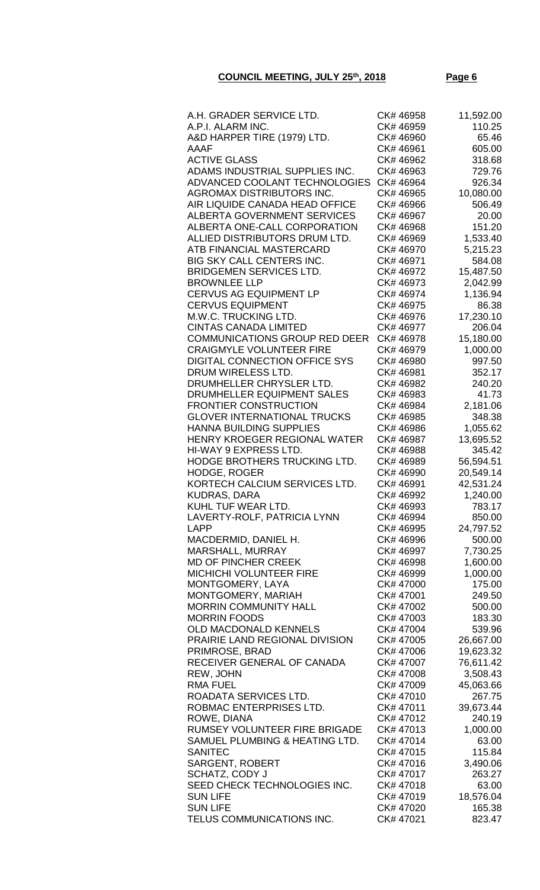| A.H. GRADER SERVICE LTD.             | CK# 46958 | 11,592.00 |
|--------------------------------------|-----------|-----------|
|                                      |           |           |
| A.P.I. ALARM INC.                    | CK# 46959 | 110.25    |
| A&D HARPER TIRE (1979) LTD.          | CK# 46960 | 65.46     |
| AAAF                                 | CK# 46961 | 605.00    |
|                                      |           |           |
| <b>ACTIVE GLASS</b>                  | CK# 46962 | 318.68    |
| ADAMS INDUSTRIAL SUPPLIES INC.       | CK# 46963 | 729.76    |
| ADVANCED COOLANT TECHNOLOGIES        | CK# 46964 | 926.34    |
| <b>AGROMAX DISTRIBUTORS INC.</b>     | CK# 46965 | 10,080.00 |
|                                      |           |           |
| AIR LIQUIDE CANADA HEAD OFFICE       | CK# 46966 | 506.49    |
| <b>ALBERTA GOVERNMENT SERVICES</b>   | CK# 46967 | 20.00     |
| ALBERTA ONE-CALL CORPORATION         | CK# 46968 | 151.20    |
| ALLIED DISTRIBUTORS DRUM LTD.        |           |           |
|                                      | CK# 46969 | 1,533.40  |
| ATB FINANCIAL MASTERCARD             | CK# 46970 | 5,215.23  |
| BIG SKY CALL CENTERS INC.            | CK# 46971 | 584.08    |
| <b>BRIDGEMEN SERVICES LTD.</b>       | CK# 46972 | 15,487.50 |
|                                      |           |           |
| <b>BROWNLEE LLP</b>                  | CK# 46973 | 2,042.99  |
| CERVUS AG EQUIPMENT LP               | CK# 46974 | 1,136.94  |
| <b>CERVUS EQUIPMENT</b>              | CK# 46975 | 86.38     |
| M.W.C. TRUCKING LTD.                 | CK# 46976 | 17,230.10 |
|                                      |           |           |
| <b>CINTAS CANADA LIMITED</b>         | CK# 46977 | 206.04    |
| <b>COMMUNICATIONS GROUP RED DEER</b> | CK# 46978 | 15,180.00 |
| <b>CRAIGMYLE VOLUNTEER FIRE</b>      | CK# 46979 | 1,000.00  |
| DIGITAL CONNECTION OFFICE SYS        | CK# 46980 | 997.50    |
|                                      |           |           |
| DRUM WIRELESS LTD.                   | CK# 46981 | 352.17    |
| DRUMHELLER CHRYSLER LTD.             | CK# 46982 | 240.20    |
| DRUMHELLER EQUIPMENT SALES           | CK# 46983 | 41.73     |
| <b>FRONTIER CONSTRUCTION</b>         | CK# 46984 | 2,181.06  |
|                                      |           |           |
| <b>GLOVER INTERNATIONAL TRUCKS</b>   | CK# 46985 | 348.38    |
| <b>HANNA BUILDING SUPPLIES</b>       | CK# 46986 | 1,055.62  |
| HENRY KROEGER REGIONAL WATER         | CK# 46987 | 13,695.52 |
| HI-WAY 9 EXPRESS LTD.                | CK# 46988 | 345.42    |
|                                      |           |           |
| HODGE BROTHERS TRUCKING LTD.         | CK# 46989 | 56,594.51 |
| <b>HODGE, ROGER</b>                  | CK# 46990 | 20,549.14 |
| KORTECH CALCIUM SERVICES LTD.        | CK# 46991 | 42,531.24 |
| <b>KUDRAS, DARA</b>                  | CK# 46992 | 1,240.00  |
|                                      |           |           |
| KUHL TUF WEAR LTD.                   | CK# 46993 | 783.17    |
| LAVERTY-ROLF, PATRICIA LYNN          | CK# 46994 | 850.00    |
| <b>LAPP</b>                          | CK# 46995 | 24,797.52 |
| MACDERMID, DANIEL H.                 | CK# 46996 | 500.00    |
|                                      |           |           |
| MARSHALL, MURRAY                     | CK# 46997 | 7,730.25  |
| <b>MD OF PINCHER CREEK</b>           | CK# 46998 | 1,600.00  |
| MICHICHI VOLUNTEER FIRE              | CK# 46999 | 1,000.00  |
| MONTGOMERY, LAYA                     | CK# 47000 | 175.00    |
|                                      |           |           |
| MONTGOMERY, MARIAH                   | CK# 47001 | 249.50    |
| <b>MORRIN COMMUNITY HALL</b>         | CK# 47002 | 500.00    |
| <b>MORRIN FOODS</b>                  | CK# 47003 | 183.30    |
| OLD MACDONALD KENNELS                | CK# 47004 | 539.96    |
|                                      |           |           |
| PRAIRIE LAND REGIONAL DIVISION       | CK# 47005 | 26,667.00 |
| PRIMROSE, BRAD                       | CK# 47006 | 19,623.32 |
| RECEIVER GENERAL OF CANADA           | CK# 47007 | 76,611.42 |
| REW, JOHN                            | CK# 47008 | 3,508.43  |
|                                      |           |           |
| <b>RMA FUEL</b>                      | CK# 47009 | 45,063.66 |
| ROADATA SERVICES LTD.                | CK# 47010 | 267.75    |
| ROBMAC ENTERPRISES LTD.              | CK# 47011 | 39,673.44 |
| ROWE, DIANA                          | CK# 47012 | 240.19    |
|                                      |           |           |
| RUMSEY VOLUNTEER FIRE BRIGADE        | CK# 47013 | 1,000.00  |
| SAMUEL PLUMBING & HEATING LTD.       | CK# 47014 | 63.00     |
| <b>SANITEC</b>                       | CK# 47015 | 115.84    |
| <b>SARGENT, ROBERT</b>               | CK# 47016 | 3,490.06  |
|                                      |           |           |
| <b>SCHATZ, CODY J</b>                | CK# 47017 | 263.27    |
| SEED CHECK TECHNOLOGIES INC.         | CK# 47018 | 63.00     |
| <b>SUN LIFE</b>                      | CK# 47019 | 18,576.04 |
| <b>SUN LIFE</b>                      | CK# 47020 | 165.38    |
| TELUS COMMUNICATIONS INC.            |           |           |
|                                      | CK# 47021 | 823.47    |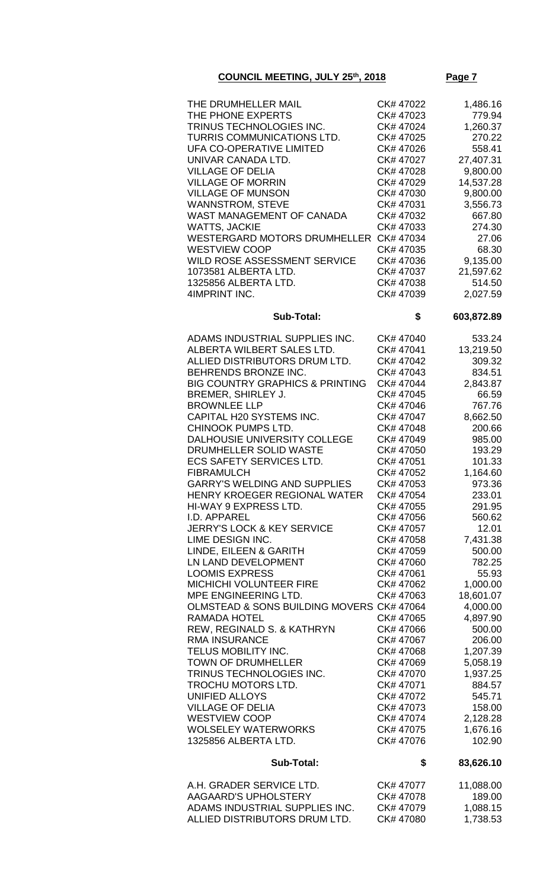| THE DRUMHELLER MAIL<br>THE PHONE EXPERTS<br>TRINUS TECHNOLOGIES INC.<br>TURRIS COMMUNICATIONS LTD.<br>UFA CO-OPERATIVE LIMITED<br>UNIVAR CANADA LTD.<br><b>VILLAGE OF DELIA</b><br><b>VILLAGE OF MORRIN</b><br><b>VILLAGE OF MUNSON</b><br><b>WANNSTROM, STEVE</b><br>WAST MANAGEMENT OF CANADA<br>WATTS, JACKIE<br>WESTERGARD MOTORS DRUMHELLER CK# 47034<br>WESTVIEW COOP<br>WILD ROSE ASSESSMENT SERVICE<br>1073581 ALBERTA LTD.<br>1325856 ALBERTA LTD.<br>4IMPRINT INC.                                                                                                                                                                                                                                                                                                                                                                                                                                                                                                                                                  | CK# 47022<br>CK# 47023<br>CK# 47024<br>CK# 47025<br>CK# 47026<br>CK# 47027<br>CK# 47028<br>CK# 47029<br>CK# 47030<br>CK# 47031<br>CK# 47032<br>CK# 47033<br>CK# 47035<br>CK# 47036<br>CK# 47037<br>CK# 47038<br>CK# 47039                                                                                                                                                                                                                                                        | 1,486.16<br>779.94<br>1,260.37<br>270.22<br>558.41<br>27,407.31<br>9,800.00<br>14,537.28<br>9,800.00<br>3,556.73<br>667.80<br>274.30<br>27.06<br>68.30<br>9,135.00<br>21,597.62<br>514.50<br>2,027.59                                                                                                                                                                                                     |
|-------------------------------------------------------------------------------------------------------------------------------------------------------------------------------------------------------------------------------------------------------------------------------------------------------------------------------------------------------------------------------------------------------------------------------------------------------------------------------------------------------------------------------------------------------------------------------------------------------------------------------------------------------------------------------------------------------------------------------------------------------------------------------------------------------------------------------------------------------------------------------------------------------------------------------------------------------------------------------------------------------------------------------|----------------------------------------------------------------------------------------------------------------------------------------------------------------------------------------------------------------------------------------------------------------------------------------------------------------------------------------------------------------------------------------------------------------------------------------------------------------------------------|-----------------------------------------------------------------------------------------------------------------------------------------------------------------------------------------------------------------------------------------------------------------------------------------------------------------------------------------------------------------------------------------------------------|
| <b>Sub-Total:</b>                                                                                                                                                                                                                                                                                                                                                                                                                                                                                                                                                                                                                                                                                                                                                                                                                                                                                                                                                                                                             | \$                                                                                                                                                                                                                                                                                                                                                                                                                                                                               | 603,872.89                                                                                                                                                                                                                                                                                                                                                                                                |
| ADAMS INDUSTRIAL SUPPLIES INC.<br>ALBERTA WILBERT SALES LTD.<br>ALLIED DISTRIBUTORS DRUM LTD.<br>BEHRENDS BRONZE INC.<br><b>BIG COUNTRY GRAPHICS &amp; PRINTING</b><br>BREMER, SHIRLEY J.<br><b>BROWNLEE LLP</b><br>CAPITAL H20 SYSTEMS INC.<br>CHINOOK PUMPS LTD.<br>DALHOUSIE UNIVERSITY COLLEGE<br>DRUMHELLER SOLID WASTE<br>ECS SAFETY SERVICES LTD.<br><b>FIBRAMULCH</b><br><b>GARRY'S WELDING AND SUPPLIES</b><br>HENRY KROEGER REGIONAL WATER<br>HI-WAY 9 EXPRESS LTD.<br>I.D. APPAREL<br><b>JERRY'S LOCK &amp; KEY SERVICE</b><br>LIME DESIGN INC.<br>LINDE, EILEEN & GARITH<br>LN LAND DEVELOPMENT<br><b>LOOMIS EXPRESS</b><br>MICHICHI VOLUNTEER FIRE<br>MPE ENGINEERING LTD.<br>OLMSTEAD & SONS BUILDING MOVERS CK# 47064<br>RAMADA HOTEL<br>REW, REGINALD S. & KATHRYN<br>RMA INSURANCE<br>TELUS MOBILITY INC.<br><b>TOWN OF DRUMHELLER</b><br>TRINUS TECHNOLOGIES INC.<br>TROCHU MOTORS LTD.<br>UNIFIED ALLOYS<br><b>VILLAGE OF DELIA</b><br>WESTVIEW COOP<br><b>WOLSELEY WATERWORKS</b><br>1325856 ALBERTA LTD. | CK# 47040<br>CK# 47041<br>CK# 47042<br>CK# 47043<br>CK# 47044<br>CK# 47045<br>CK# 47046<br>CK# 47047<br>CK# 47048<br>CK# 47049<br>CK# 47050<br>CK# 47051<br>CK# 47052<br>CK# 47053<br>CK# 47054<br>CK# 47055<br>CK# 47056<br>CK# 47057<br>CK# 47058<br>CK# 47059<br>CK# 47060<br>CK# 47061<br>CK# 47062<br>CK# 47063<br>CK# 47065<br>CK# 47066<br>CK# 47067<br>CK# 47068<br>CK# 47069<br>CK# 47070<br>CK# 47071<br>CK# 47072<br>CK# 47073<br>CK# 47074<br>CK# 47075<br>CK# 47076 | 533.24<br>13,219.50<br>309.32<br>834.51<br>2,843.87<br>66.59<br>767.76<br>8,662.50<br>200.66<br>985.00<br>193.29<br>101.33<br>1,164.60<br>973.36<br>233.01<br>291.95<br>560.62<br>12.01<br>7,431.38<br>500.00<br>782.25<br>55.93<br>1,000.00<br>18,601.07<br>4,000.00<br>4,897.90<br>500.00<br>206.00<br>1,207.39<br>5,058.19<br>1,937.25<br>884.57<br>545.71<br>158.00<br>2,128.28<br>1,676.16<br>102.90 |
| Sub-Total:                                                                                                                                                                                                                                                                                                                                                                                                                                                                                                                                                                                                                                                                                                                                                                                                                                                                                                                                                                                                                    | \$                                                                                                                                                                                                                                                                                                                                                                                                                                                                               | 83,626.10                                                                                                                                                                                                                                                                                                                                                                                                 |
|                                                                                                                                                                                                                                                                                                                                                                                                                                                                                                                                                                                                                                                                                                                                                                                                                                                                                                                                                                                                                               |                                                                                                                                                                                                                                                                                                                                                                                                                                                                                  |                                                                                                                                                                                                                                                                                                                                                                                                           |

| A.H. GRADER SERVICE LTD.       | CK# 47077 | 11.088.00 |
|--------------------------------|-----------|-----------|
| AAGAARD'S UPHOLSTERY           | CK#47078  | 189.00    |
| ADAMS INDUSTRIAL SUPPLIES INC. | CK# 47079 | 1.088.15  |
| ALLIED DISTRIBUTORS DRUM LTD.  | CK#47080  | 1.738.53  |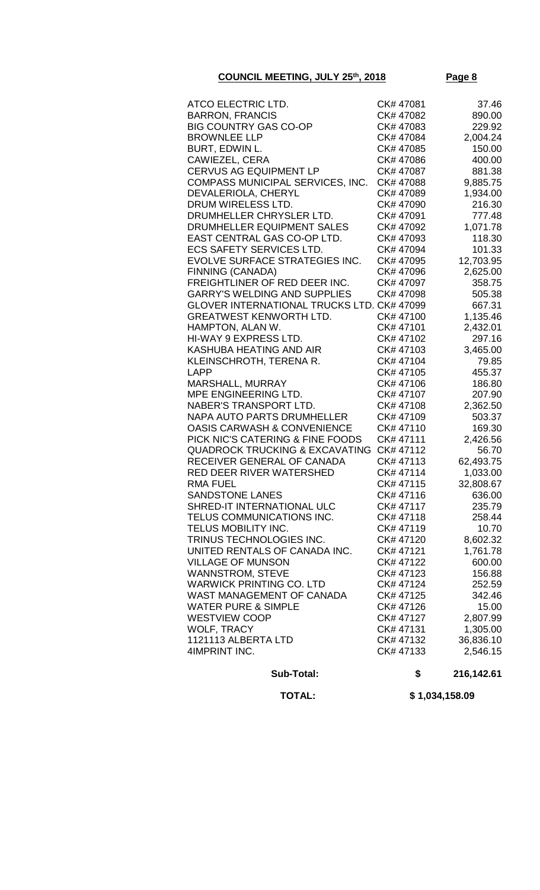| ATCO ELECTRIC LTD.                                 | CK#47081               | 37.46             |
|----------------------------------------------------|------------------------|-------------------|
| <b>BARRON, FRANCIS</b>                             | CK# 47082              | 890.00            |
| <b>BIG COUNTRY GAS CO-OP</b>                       | CK# 47083              | 229.92            |
| <b>BROWNLEE LLP</b>                                | CK# 47084              | 2,004.24          |
| BURT, EDWIN L.                                     | CK# 47085              | 150.00            |
| <b>CAWIEZEL, CERA</b>                              | CK# 47086              | 400.00            |
| <b>CERVUS AG EQUIPMENT LP</b>                      | CK# 47087              | 881.38            |
| COMPASS MUNICIPAL SERVICES, INC.                   | CK# 47088              | 9,885.75          |
| DEVALERIOLA, CHERYL                                | CK# 47089              | 1,934.00          |
| DRUM WIRELESS LTD.                                 | CK# 47090              | 216.30            |
| DRUMHELLER CHRYSLER LTD.                           | CK# 47091              | 777.48            |
| DRUMHELLER EQUIPMENT SALES                         | CK# 47092              | 1,071.78          |
| EAST CENTRAL GAS CO-OP LTD.                        | CK# 47093              | 118.30            |
| <b>ECS SAFETY SERVICES LTD.</b>                    | CK# 47094              | 101.33            |
| EVOLVE SURFACE STRATEGIES INC.                     | CK# 47095              | 12,703.95         |
| FINNING (CANADA)                                   | CK# 47096              | 2,625.00          |
| FREIGHTLINER OF RED DEER INC.                      | CK# 47097              | 358.75            |
| <b>GARRY'S WELDING AND SUPPLIES</b>                | CK# 47098              | 505.38            |
| <b>GLOVER INTERNATIONAL TRUCKS LTD. CK# 47099</b>  |                        | 667.31            |
| <b>GREATWEST KENWORTH LTD.</b>                     | CK# 47100              | 1,135.46          |
| HAMPTON, ALAN W.                                   | CK# 47101              | 2,432.01          |
| HI-WAY 9 EXPRESS LTD.                              | CK# 47102<br>CK# 47103 | 297.16            |
| KASHUBA HEATING AND AIR<br>KLEINSCHROTH, TERENA R. | CK# 47104              | 3,465.00<br>79.85 |
| <b>LAPP</b>                                        | CK# 47105              | 455.37            |
| MARSHALL, MURRAY                                   | CK# 47106              | 186.80            |
| MPE ENGINEERING LTD.                               | CK# 47107              | 207.90            |
| NABER'S TRANSPORT LTD.                             | CK# 47108              | 2,362.50          |
| <b>NAPA AUTO PARTS DRUMHELLER</b>                  | CK# 47109              | 503.37            |
| <b>OASIS CARWASH &amp; CONVENIENCE</b>             | CK# 47110              | 169.30            |
| PICK NIC'S CATERING & FINE FOODS                   | CK# 47111              | 2,426.56          |
| <b>QUADROCK TRUCKING &amp; EXCAVATING</b>          | CK# 47112              | 56.70             |
| RECEIVER GENERAL OF CANADA                         | CK# 47113              | 62,493.75         |
| RED DEER RIVER WATERSHED                           | CK# 47114              | 1,033.00          |
| <b>RMA FUEL</b>                                    | CK# 47115              | 32,808.67         |
| <b>SANDSTONE LANES</b>                             | CK# 47116              | 636.00            |
| SHRED-IT INTERNATIONAL ULC                         | CK# 47117              | 235.79            |
| TELUS COMMUNICATIONS INC.                          | CK# 47118              | 258.44            |
| TELUS MOBILITY INC.                                | CK# 47119              | 10.70             |
| TRINUS TECHNOLOGIES INC.                           | CK# 47120              | 8,602.32          |
| UNITED RENTALS OF CANADA INC.                      | CK# 47121              | 1,761.78          |
| <b>VILLAGE OF MUNSON</b>                           | CK# 47122              | 600.00            |
| <b>WANNSTROM, STEVE</b>                            | CK# 47123              | 156.88            |
| <b>WARWICK PRINTING CO. LTD</b>                    | CK# 47124              | 252.59            |
| WAST MANAGEMENT OF CANADA                          | CK# 47125              | 342.46            |
| <b>WATER PURE &amp; SIMPLE</b>                     | CK# 47126              | 15.00             |
| <b>WESTVIEW COOP</b>                               | CK# 47127              | 2,807.99          |
| <b>WOLF, TRACY</b>                                 | CK# 47131              | 1,305.00          |
| 1121113 ALBERTA LTD                                | CK# 47132              | 36,836.10         |
| 4IMPRINT INC.                                      | CK# 47133              | 2,546.15          |
| <b>Sub-Total:</b>                                  | \$                     | 216,142.61        |

 **TOTAL: \$ 1,034,158.09**